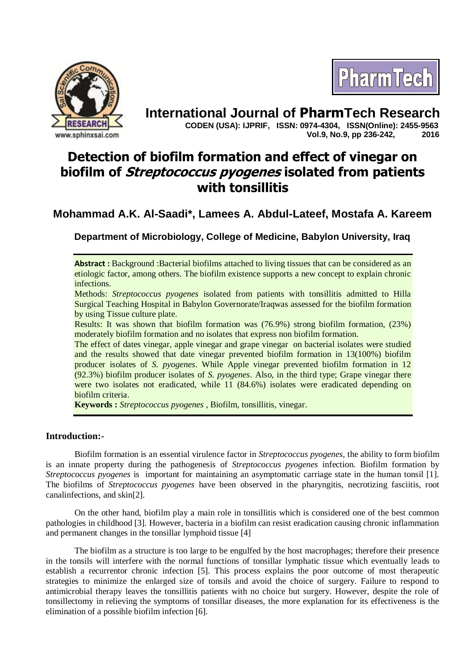



**International Journal of PharmTech Research CODEN (USA): IJPRIF, ISSN: 0974-4304, ISSN(Online): 2455-9563 Vol.9, No.9, pp 236-242, 2016**

# **Detection of biofilm formation and effect of vinegar on biofilm of Streptococcus pyogenes isolated from patients with tonsillitis**

# **Mohammad A.K. Al-Saadi\*, Lamees A. Abdul-Lateef, Mostafa A. Kareem**

**Department of Microbiology, College of Medicine, Babylon University, Iraq**

**Abstract :** Background :Bacterial biofilms attached to living tissues that can be considered as an etiologic factor, among others. The biofilm existence supports a new concept to explain chronic infections.

Methods: *Streptococcus pyogenes* isolated from patients with tonsillitis admitted to Hilla Surgical Teaching Hospital in Babylon Governorate/Iraqwas assessed for the biofilm formation by using Tissue culture plate.

Results: It was shown that biofilm formation was (76.9%) strong biofilm formation, (23%) moderately biofilm formation and no isolates that express non biofilm formation.

The effect of dates vinegar, apple vinegar and grape vinegar on bacterial isolates were studied and the results showed that date vinegar prevented biofilm formation in 13(100%) biofilm producer isolates of *S. pyogenes*. While Apple vinegar prevented biofilm formation in 12 (92.3%) biofilm producer isolates of *S. pyogenes*. Also, in the third type; Grape vinegar there were two isolates not eradicated, while 11 (84.6%) isolates were eradicated depending on biofilm criteria.

**Keywords :** *Streptococcus pyogenes* , Biofilm, tonsillitis, vinegar.

# **Introduction:-**

 Biofilm formation is an essential virulence factor in *Streptococcus pyogenes*, the ability to form biofilm is an innate property during the pathogenesis of *Streptococcus pyogenes* infection. Biofilm formation by *Streptococcus pyogenes* is important for maintaining an asymptomatic carriage state in the human tonsil [1]. The biofilms of *Streptococcus pyogenes* have been observed in the pharyngitis, necrotizing fasciitis, root canalinfections, and skin[2].

On the other hand, biofilm play a main role in tonsillitis which is considered one of the best common pathologies in childhood [3]. However, bacteria in a biofilm can resist eradication causing chronic inflammation and permanent changes in the tonsillar lymphoid tissue [4]

The biofilm as a structure is too large to be engulfed by the host macrophages; therefore their presence in the tonsils will interfere with the normal functions of tonsillar lymphatic tissue which eventually leads to establish a recurrentor chronic infection [5]. This process explains the poor outcome of most therapeutic strategies to minimize the enlarged size of tonsils and avoid the choice of surgery. Failure to respond to antimicrobial therapy leaves the tonsillitis patients with no choice but surgery. However, despite the role of tonsillectomy in relieving the symptoms of tonsillar diseases, the more explanation for its effectiveness is the elimination of a possible biofilm infection [6].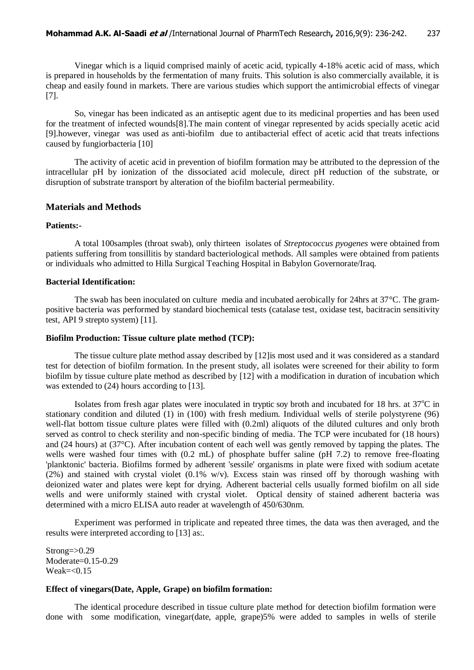Vinegar which is a liquid comprised mainly of acetic acid, typically 4-18% acetic acid of mass, which is prepared in households by the fermentation of many fruits. This solution is also commercially available, it is cheap and easily found in markets. There are various studies which support the antimicrobial effects of vinegar [7].

So, vinegar has been indicated as an antiseptic agent due to its medicinal properties and has been used for the treatment of infected wounds[8].The main content of vinegar represented by acids specially acetic acid [9].however, vinegar was used as anti-biofilm due to antibacterial effect of acetic acid that treats infections caused by fungiorbacteria [10]

 The activity of acetic acid in prevention of biofilm formation may be attributed to the depression of the intracellular pH by ionization of the dissociated acid molecule, direct pH reduction of the substrate, or disruption of substrate transport by alteration of the biofilm bacterial permeability.

# **Materials and Methods**

#### **Patients:-**

A total 100samples (throat swab), only thirteen isolates of *Streptococcus pyogenes* were obtained from patients suffering from tonsillitis by standard bacteriological methods. All samples were obtained from patients or individuals who admitted to Hilla Surgical Teaching Hospital in Babylon Governorate/Iraq.

#### **Bacterial Identification:**

The swab has been inoculated on culture media and incubated aerobically for 24hrs at 37°C. The grampositive bacteria was performed by standard biochemical tests (catalase test, oxidase test, bacitracin sensitivity test, API 9 strepto system) [11].

### **Biofilm Production: Tissue culture plate method (TCP):**

The tissue culture plate method assay described by [12]is most used and it was considered as a standard test for detection of biofilm formation. In the present study, all isolates were screened for their ability to form biofilm by tissue culture plate method as described by [12] with a modification in duration of incubation which was extended to (24) hours according to [13]*.* 

Isolates from fresh agar plates were inoculated in tryptic soy broth and incubated for 18 hrs. at  $37^{\circ}$ C in stationary condition and diluted (1) in (100) with fresh medium. Individual wells of sterile polystyrene (96) well-flat bottom tissue culture plates were filled with (0.2ml) aliquots of the diluted cultures and only broth served as control to check sterility and non-specific binding of media. The TCP were incubated for (18 hours) and (24 hours) at (37°C). After incubation content of each well was gently removed by tapping the plates. The wells were washed four times with (0.2 mL) of phosphate buffer saline (pH 7.2) to remove free-floating 'planktonic' bacteria. Biofilms formed by adherent 'sessile' organisms in plate were fixed with sodium acetate  $(2%)$  and stained with crystal violet  $(0.1%$  w/v). Excess stain was rinsed off by thorough washing with deionized water and plates were kept for drying. Adherent bacterial cells usually formed biofilm on all side wells and were uniformly stained with crystal violet. Optical density of stained adherent bacteria was determined with a micro ELISA auto reader at wavelength of 450/630nm.

Experiment was performed in triplicate and repeated three times, the data was then averaged, and the results were interpreted according to [13] as:*.*

 $Strong = > 0.29$ Moderate=0.15-0.29  $Weak = < 0.15$ 

#### **Effect of vinegars(Date, Apple, Grape) on biofilm formation:**

The identical procedure described in tissue culture plate method for detection biofilm formation were done with some modification, vinegar(date, apple, grape)5% were added to samples in wells of sterile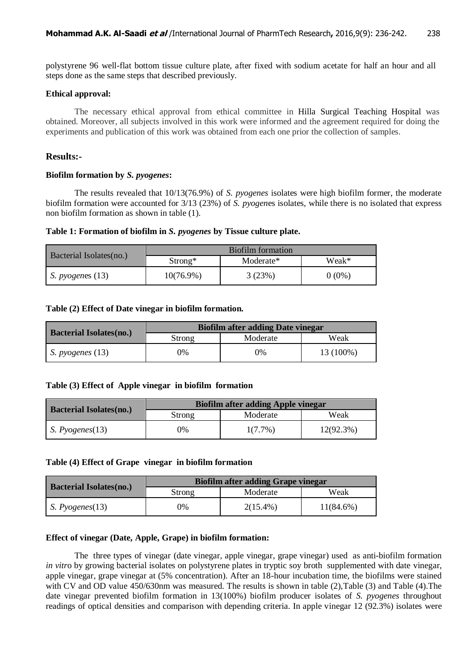polystyrene 96 well-flat bottom tissue culture plate, after fixed with sodium acetate for half an hour and all steps done as the same steps that described previously.

#### **Ethical approval:**

The necessary ethical approval from ethical committee in Hilla Surgical Teaching Hospital was obtained. Moreover, all subjects involved in this work were informed and the agreement required for doing the experiments and publication of this work was obtained from each one prior the collection of samples.

#### **Results:-**

#### **Biofilm formation by** *S. pyogenes***:**

The results revealed that 10/13(76.9%) of *S. pyogenes* isolates were high biofilm former, the moderate biofilm formation were accounted for 3/13 (23%) of *S. pyogen*es isolates, while there is no isolated that express non biofilm formation as shown in table (1).

#### **Table 1: Formation of biofilm in** *S. pyogenes* **by Tissue culture plate.**

| Bacterial Isolates(no.)   | Biofilm formation |           |          |
|---------------------------|-------------------|-----------|----------|
|                           | $Strong*$         | Moderate* | Weak*    |
| <i>S. pyogenes</i> $(13)$ | $10(76.9\%)$      | 3(23%)    | $0(0\%)$ |

#### **Table (2) Effect of Date vinegar in biofilm formation.**

| <b>Bacterial Isolates(no.)</b> | <b>Biofilm after adding Date vinegar</b> |          |           |
|--------------------------------|------------------------------------------|----------|-----------|
|                                | Strong                                   | Moderate | Weak      |
| S. pyogenous (13)              | 0%                                       | 0%       | 13 (100%) |

#### **Table (3) Effect of Apple vinegar in biofilm formation**

| <b>Bacterial Isolates(no.)</b> | <b>Biofilm after adding Apple vinegar</b> |            |           |
|--------------------------------|-------------------------------------------|------------|-----------|
|                                | Strong                                    | Moderate   | Weak      |
| S. Pvogenes(13)                | 0%                                        | $1(7.7\%)$ | 12(92.3%) |

#### **Table (4) Effect of Grape vinegar in biofilm formation**

| <b>Bacterial Isolates(no.)</b> | <b>Biofilm after adding Grape vinegar</b> |             |           |
|--------------------------------|-------------------------------------------|-------------|-----------|
|                                | Strong                                    | Moderate    | Weak      |
| <i>S. Pyogenes</i> $(13)$      | $0\%$                                     | $2(15.4\%)$ | 11(84.6%) |

#### **Effect of vinegar (Date, Apple, Grape) in biofilm formation:**

The three types of vinegar (date vinegar, apple vinegar, grape vinegar) used as anti-biofilm formation *in vitr*o by growing bacterial isolates on polystyrene plates in tryptic soy broth supplemented with date vinegar, apple vinegar, grape vinegar at (5% concentration). After an 18-hour incubation time, the biofilms were stained with CV and OD value 450/630nm was measured. The results is shown in table (2), Table (3) and Table (4). The date vinegar prevented biofilm formation in 13(100%) biofilm producer isolates of *S. pyogenes* throughout readings of optical densities and comparison with depending criteria. In apple vinegar 12 (92.3%) isolates were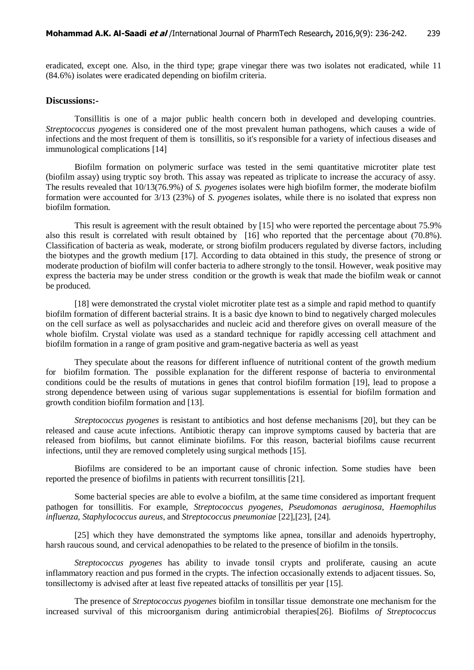eradicated, except one. Also, in the third type; grape vinegar there was two isolates not eradicated, while 11 (84.6%) isolates were eradicated depending on biofilm criteria.

# **Discussions:-**

Tonsillitis is one of a major public health concern both in developed and developing countries. *Streptococcus pyogenes* is considered one of the most prevalent human pathogens, which causes a wide of infections and the most frequent of them is tonsillitis, so it's responsible for a variety of infectious diseases and immunological complications [14]

Biofilm formation on polymeric surface was tested in the semi quantitative microtiter plate test (biofilm assay) using tryptic soy broth. This assay was repeated as triplicate to increase the accuracy of assy. The results revealed that 10/13(76.9%) of *S. pyogenes* isolates were high biofilm former, the moderate biofilm formation were accounted for 3/13 (23%) of *S. pyogenes* isolates, while there is no isolated that express non biofilm formation.

This result is agreement with the result obtained by [15] who were reported the percentage about 75.9% also this result is correlated with result obtained by [16] who reported that the percentage about (70.8%). Classification of bacteria as weak, moderate, or strong biofilm producers regulated by diverse factors, including the biotypes and the growth medium [17]. According to data obtained in this study, the presence of strong or moderate production of biofilm will confer bacteria to adhere strongly to the tonsil. However, weak positive may express the bacteria may be under stress condition or the growth is weak that made the biofilm weak or cannot be produced.

[18] were demonstrated the crystal violet microtiter plate test as a simple and rapid method to quantify biofilm formation of different bacterial strains. It is a basic dye known to bind to negatively charged molecules on the cell surface as well as polysaccharides and nucleic acid and therefore gives on overall measure of the whole biofilm. Crystal violate was used as a standard technique for rapidly accessing cell attachment and biofilm formation in a range of gram positive and gram-negative bacteria as well as yeast

They speculate about the reasons for different influence of nutritional content of the growth medium for biofilm formation. The possible explanation for the different response of bacteria to environmental conditions could be the results of mutations in genes that control biofilm formation [19], lead to propose a strong dependence between using of various sugar supplementations is essential for biofilm formation and growth condition biofilm formation and [13].

*Streptococcus pyogenes* is resistant to antibiotics and host defense mechanisms [20], but they can be released and cause acute infections. Antibiotic therapy can improve symptoms caused by bacteria that are released from biofilms, but cannot eliminate biofilms. For this reason, bacterial biofilms cause recurrent infections, until they are removed completely using surgical methods [15].

Biofilms are considered to be an important cause of chronic infection. Some studies have been reported the presence of biofilms in patients with recurrent tonsillitis [21].

Some bacterial species are able to evolve a biofilm, at the same time considered as important frequent pathogen for tonsillitis. For example, *Streptococcus pyogenes*, *Pseudomonas aeruginosa, Haemophilus influenza, Staphylococcus aureus*, and *Streptococcus pneumoniae* [22],[23], [24].

[25] which they have demonstrated the symptoms like apnea, tonsillar and adenoids hypertrophy, harsh raucous sound, and cervical adenopathies to be related to the presence of biofilm in the tonsils.

*Streptococcus pyogenes* has ability to invade tonsil crypts and proliferate, causing an acute inflammatory reaction and pus formed in the crypts. The infection occasionally extends to adjacent tissues. So, tonsillectomy is advised after at least five repeated attacks of tonsillitis per year [15].

The presence of *Streptococcus pyogenes* biofilm in tonsillar tissue demonstrate one mechanism for the increased survival of this microorganism during antimicrobial therapies[26]. Biofilms *of Streptococcus*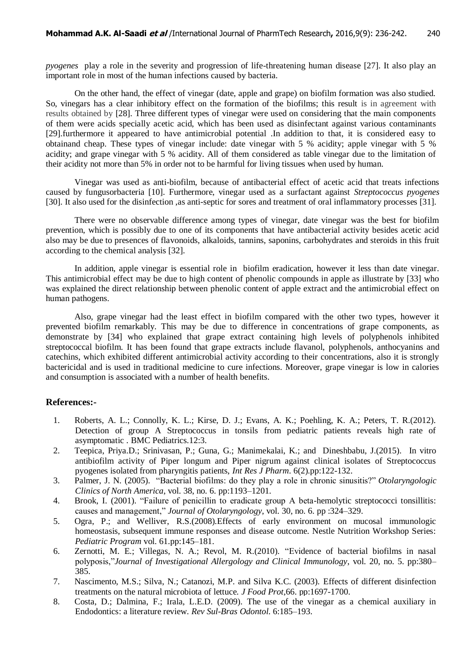*pyogenes* play a role in the severity and progression of life-threatening human disease [27]. It also play an important role in most of the human infections caused by bacteria.

On the other hand, the effect of vinegar (date, apple and grape) on biofilm formation was also studied. So, vinegars has a clear inhibitory effect on the formation of the biofilms; this result is in agreement with results obtained by [28]. Three different types of vinegar were used on considering that the main components of them were acids specially acetic acid, which has been used as disinfectant against various contaminants [29].furthermore it appeared to have antimicrobial potential .In addition to that, it is considered easy to obtainand cheap. These types of vinegar include: date vinegar with 5 % acidity; apple vinegar with 5 % acidity; and grape vinegar with 5 % acidity. All of them considered as table vinegar due to the limitation of their acidity not more than 5% in order not to be harmful for living tissues when used by human.

Vinegar was used as anti-biofilm, because of antibacterial effect of acetic acid that treats infections caused by fungusorbacteria [10]. Furthermore, vinegar used as a surfactant against *Streptococcus pyogenes*  [30]. It also used for the disinfection ,as anti-septic for sores and treatment of oral inflammatory processes [31].

There were no observable difference among types of vinegar, date vinegar was the best for biofilm prevention, which is possibly due to one of its components that have antibacterial activity besides acetic acid also may be due to presences of flavonoids, alkaloids, tannins, saponins, carbohydrates and steroids in this fruit according to the chemical analysis [32].

In addition, apple vinegar is essential role in biofilm eradication, however it less than date vinegar. This antimicrobial effect may be due to high content of phenolic compounds in apple as illustrate by [33] who was explained the direct relationship between phenolic content of apple extract and the antimicrobial effect on human pathogens.

Also, grape vinegar had the least effect in biofilm compared with the other two types, however it prevented biofilm remarkably. This may be due to difference in concentrations of grape components, as demonstrate by [34] who explained that grape extract containing high levels of polyphenols inhibited streptococcal biofilm. It has been found that grape extracts include flavanol, polyphenols, anthocyanins and catechins, which exhibited different antimicrobial activity according to their concentrations, also it is strongly bactericidal and is used in traditional medicine to cure infections. Moreover, grape vinegar is low in calories and consumption is associated with a number of health benefits.

#### **References:-**

- 1. Roberts, A. L.; Connolly, K. L.; Kirse, D. J.; Evans, A. K.; Poehling, K. A.; Peters, T. R.(2012). Detection of group A Streptococcus in tonsils from pediatric patients reveals high rate of asymptomatic . BMC Pediatrics.12:3.
- 2. Teepica, Priya.D.; Srinivasan, P.; Guna, G.; Manimekalai, K.; and Dineshbabu, J.(2015). In vitro antibiofilm activity of Piper longum and Piper nigrum against clinical isolates of Streptococcus pyogenes isolated from pharyngitis patients, *Int Res J Pharm*. 6(2).pp:122-132.
- 3. Palmer, J. N. (2005). "Bacterial biofilms: do they play a role in chronic sinusitis?" *Otolaryngologic Clinics of North America*, vol. 38, no. 6. pp:1193–1201.
- 4. Brook, I. (2001). "Failure of penicillin to eradicate group A beta-hemolytic streptococci tonsillitis: causes and management," *Journal of Otolaryngology*, vol. 30, no. 6. pp :324–329.
- 5. Ogra, P.; and Welliver, R.S.(2008).Effects of early environment on mucosal immunologic homeostasis, subsequent immune responses and disease outcome. Nestle Nutrition Workshop Series: *Pediatric Program* vol. 61.pp:145–181.
- 6. Zernotti, M. E.; Villegas, N. A.; Revol, M. R.(2010). "Evidence of bacterial biofilms in nasal polyposis,"*Journal of Investigational Allergology and Clinical Immunology*, vol. 20, no. 5. pp:380– 385.
- 7. Nascimento, M.S.; Silva, N.; Catanozi, M.P. and Silva K.C. (2003). Effects of different disinfection treatments on the natural microbiota of lettuce. *J Food Prot*,66. pp:1697-1700.
- 8. Costa, D.; Dalmina, F.; Irala, L.E.D. (2009). The use of the vinegar as a chemical auxiliary in Endodontics: a literature review. *Rev Sul-Bras Odontol*. 6:185–193.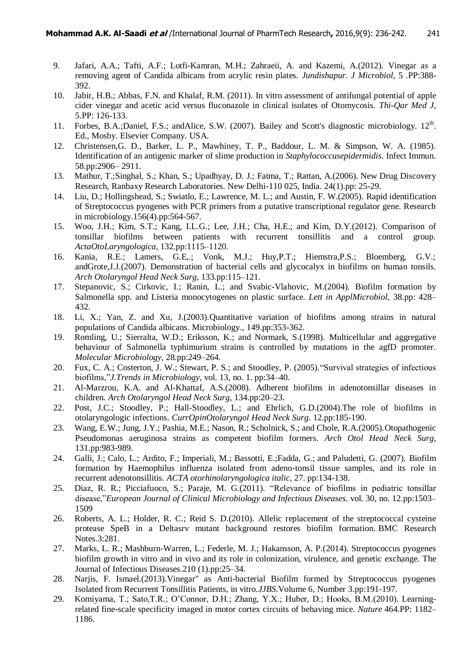- 9. Jafari, A.A.; Tafti, A.F.; Lotfi-Kamran, M.H.; Zahraeii, A. and Kazemi, A.(2012). Vinegar as a removing agent of Candida albicans from acrylic resin plates. *Jundishapur. J Microbiol*, 5 .PP:388- 392.
- 10. Jabir, H.B.; Abbas, F.N. and Khalaf, R.M. (2011). In vitro assessment of antifungal potential of apple cider vinegar and acetic acid versus fluconazole in clinical isolates of Otomycosis. *Thi-Qar Med J*, 5.PP: 126-133.
- 11. Forbes, B.A.;Daniel, F.S.; andAlice, S.W. (2007). Bailey and Scott's diagnostic microbiology. 12<sup>th</sup>. Ed., Mosby. Elsevier Company. USA.
- 12. Christensen,G. D., Barker, L. P., Mawhiney, T. P., Baddour, L. M. & Simpson, W. A. (1985). Identification of an antigenic marker of slime production in *Staphylococcusepidermidis*. Infect Immun. 58.pp:2906– 2911.
- 13. Mathur, T.;Singhal, S.; Khan, S.; Upadhyay, D. J.; Fatma, T.; Rattan, A.(2006). New Drug Discovery Research, Ranbaxy Research Laboratories. New Delhi-110 025, India. 24(1).pp: 25-29.
- 14. Liu, D.; Hollingshead, S.; Swiatlo, E.; Lawrence, M. L.; and Austin, F. W.(2005). Rapid identification of Streptococcus pyogenes with PCR primers from a putative transcriptional regulator gene. Research in microbiology.156(4).pp:564-567.
- 15. Woo, J.H.; Kim, S.T.; Kang, I.L.G.; Lee, J.H.; Cha, H.E.; and Kim, D.Y.(2012). Comparison of tonsillar biofilms between patients with recurrent tonsillitis and a control group. *ActaOtoLaryngologica*, 132.pp:1115–1120.
- 16. Kania, R.E.; Lamers, G.E,.; Vonk, M.J.; Huy,P.T.; Hiemstra,P.S.; Bloemberg, G.V.; andGrote,J.J.(2007). Demonstration of bacterial cells and glycocalyx in biofilms on human tonsils. *Arch Otolaryngol Head Neck Surg*, 133.pp:115–121.
- 17. Stepanovic, S.; Cirkovic, I.; Ranin, L.; and Svabic-Vlahovic, M.(2004). Biofilm formation by Salmonella spp. and Listeria monocytogenes on plastic surface. *Lett in ApplMicrobiol*, 38.pp: 428– 432.
- 18. Li, X.; Yan, Z. and Xu, J.(2003).Quantitative variation of biofilms among strains in natural populations of Candida albicans. Microbiology., 149.pp:353-362.
- 19. Romling, U.; Sierralta, W.D.; Eriksson, K.; and Normark, S.(1998). Multicellular and aggregative behaviour of Salmonella typhimurium strains is controlled by mutations in the agfD promoter. *Molecular Microbiology*, 28.pp:249–264.
- 20. Fux, C. A.; Costerton, J. W.; Stewart, P. S.; and Stoodley, P. (2005)."Survival strategies of infectious biofilms,"*J.Trends in Microbiology*, vol. 13, no. 1. pp:34–40.
- 21. Al-Marzrou, K.A. and Al-Khattaf, A.S.(2008). Adherent biofilms in adenotonsillar diseases in children. *Arch Otolaryngol Head Neck Surg*, 134.pp:20–23.
- 22. Post, J.C.; Stoodley, P.; Hall-Stoodley, L.; and Ehrlich, G.D.(2004).The role of biofilms in otolaryngologic infections. *CurrOpinOtolaryngol Head Neck Surg*. 12.pp:185-190.
- 23. Wang, E.W.; Jung, J.Y.; Pashia, M.E.; Nason, R.; Scholnick, S.; and Chole, R.A.(2005).Otopathogenic Pseudomonas aeruginosa strains as competent biofilm formers. *Arch Otol Head Neck Surg*, 131.pp:983-989.
- 24. Galli, J.; Calo, L.; Ardito, F.; Imperiali, M.; Bassotti, E.;Fadda, G.; and Paludetti, G. (2007). Biofilm formation by Haemophilus influenza isolated from adeno-tonsil tissue samples, and its role in recurrent adenotonsillitis. *ACTA otorhinolaryngologica italic*, 27. pp:134-138.
- 25. Diaz, R. R.; Picciafuoco, S.; Paraje, M. G.(2011). "Relevance of biofilms in pediatric tonsillar disease,"*European Journal of Clinical Microbiology and Infectious Diseases*. vol. 30, no. 12.pp:1503– 1509
- 26. Roberts, A. L.; Holder, R. C.; Reid S. D.(2010). Allelic replacement of the streptococcal cysteine protease SpeB in a Deltasrv mutant background restores biofilm formation. BMC Research Notes.3:281.
- 27. Marks, L. R.; Mashburn-Warren, L.; Federle, M. J.; Hakansson, A. P.(2014). Streptococcus pyogenes biofilm growth in vitro and in vivo and its role in colonization, virulence, and genetic exchange. The Journal of Infectious Diseases.210 (1).pp:25–34.
- 28. Narjis, F. Ismael.(2013).Vinegar" as Anti-bacterial Biofilm formed by Streptococcus pyogenes Isolated from Recurrent Tonsillitis Patients, in vitro.*JJBS*.Volume 6, Number 3.pp:191-197.
- 29. Komiyama, T.; Sato,T.R.; O'Connor, D.H.; Zhang, Y.X.; Huber, D.; Hooks, B.M.(2010). Learningrelated fine-scale specificity imaged in motor cortex circuits of behaving mice. *Nature* 464.PP: 1182– 1186.